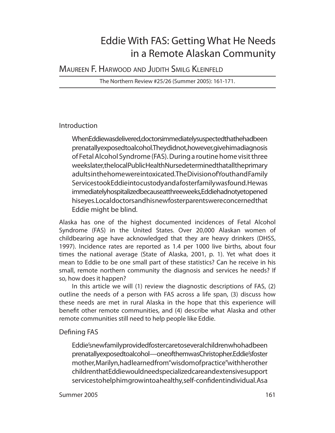# Eddie With FAS: Getting What He Needs in a Remote Alaskan Community

MAUREEN F. HARWOOD AND JUDITH SMILG KLEINFELD

The Northern Review #25/26 (Summer 2005): 161-171.

# Introduction

When Eddie was delivered, doctors immediately suspected that he had been prenatally exposed to alcohol. They didnot, howe ver, give himadiagnosis of Fetal Alcohol Syndrome (FAS). Dur ing a routine home visit three weeks later, the local Public Health Nursed eter mined that all the primary adults in the home were intoxicated. The Division of Youth and Family Services took Eddie into custody and a foster family was found. He was im mediately hospitalized be cause at three weeks, Eddie had not yet opened his eyes. Local doctors and his new foster parents we reconcerned that Eddie might be blind.

Alaska has one of the highest documented incidences of Fetal Alcohol Syn drome (FAS) in the United States. Over 20,000 Alaskan women of childbearing age have acknowledged that they are heavy drinkers (DHSS, 1997). Incidence rates are reported as 1.4 per 1000 live births, about four times the national average (State of Alaska, 2001, p. 1). Yet what does it mean to Eddie to be one small part of these statistics? Can he receive in his small, remote northern community the diagnosis and services he needs? If so, how does it happen?

In this article we will (1) review the diagnostic descriptions of FAS, (2) outline the needs of a person with FAS across a life span, (3) discuss how these needs are met in rural Alaska in the hope that this experience will benefit other remote communities, and (4) describe what Alaska and other remote communities still need to help people like Eddie.

# Defining FAS

Eddie's new family provided foster care to several children who had been prenatally exposed to alcohol—one of them was Christopher. Eddie's foster mother, Marilyn, had learned from "wisdom of practice" with herother children that Eddie would need spe cial ized care and extensive support services to help him grow into a healthy, self-confident individual. As a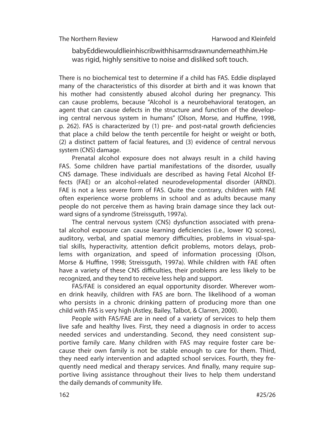baby Eddie would lie in his crib with his arms drawn underneath him. He was rigid, highly sensitive to noise and disliked soft touch.

There is no biochemical test to determine if a child has FAS. Eddie displayed many of the characteristics of this disorder at birth and it was known that his mother had consistently abused alcohol during her pregnancy. This can cause problems, because "Alcohol is a neurobehavioral teratogen, an agent that can cause defects in the structure and function of the developing central nervous system in humans" (Olson, Morse, and Huffine, 1998, p. 262). FAS is characterized by (1) pre- and post-natal growth deficiencies that place a child below the tenth percentile for height or weight or both, (2) a distinct pattern of facial features, and (3) evidence of central nervous system (CNS) damage.

Prenatal alcohol exposure does not always result in a child having FAS. Some children have partial manifestations of the disorder, usually CNS dam age. These individuals are described as having Fetal Alcohol Effects (FAE) or an alcohol-related neurodevelopmental disorder (ARND). FAE is not a less severe form of FAS. Quite the contrary, children with FAE often experience worse problems in school and as adults because many people do not perceive them as having brain damage since they lack outward signs of a syndrome (Streissguth, 1997a).

The central nervous system (CNS) dysfunction associated with prenatal alcohol exposure can cause learning deficiencies (i.e., lower IQ scores), auditory, verbal, and spatial memory difficulties, problems in visual-spatial skills, hyperactivity, attention deficit problems, motors delays, problems with organization, and speed of information processing (Olson, Morse & Huffine, 1998; Streissguth, 1997a). While children with FAE often have a variety of these CNS difficulties, their problems are less likely to be recognized, and they tend to receive less help and support.

FAS/FAE is considered an equal opportunity disorder. Wherever women drink heavily, children with FAS are born. The likelihood of a woman who persists in a chronic drinking pattern of producing more than one child with FAS is very high (Astley, Bailey, Talbot, & Clarren, 2000).

People with FAS/FAE are in need of a variety of services to help them live safe and healthy lives. First, they need a diagnosis in order to access needed services and understanding. Second, they need consistent supportive family care. Many children with FAS may require foster care because their own family is not be stable enough to care for them. Third, they need early intervention and adapted school services. Fourth, they frequently need medical and therapy services. And finally, many require supportive living assistance throughout their lives to help them understand the daily demands of community life.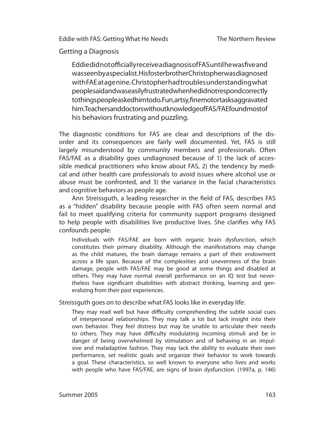Getting a Diagnosis

Eddie did not officially receive a diagnosis of FAS until he was five and was seen by a specialist. His foster brother Christopher was diagnosed with FAE at age nine. Christopher had troubles understanding what people said and was easily frus trated when he did not respond correctly to things people as ked him to do. Fun, artsy, fine motor tasks aggravated him. Teachers and doctors without knowled ge of FAS/FAE found most of his behaviors frustrating and puzzling.

The diagnostic conditions for FAS are clear and descriptions of the disorder and its consequences are fairly well documented. Yet, FAS is still largely misunderstood by community members and professionals. Often FAS/FAE as a disability goes undiagnosed because of 1) the lack of accessible medical practitioners who know about FAS, 2) the tendency by medical and other health care professionals to avoid issues where alcohol use or abuse must be confronted, and 3) the variance in the facial characteristics and cognitive behaviors as people age.

Ann Streissguth, a leading researcher in the field of FAS, describes FAS as a "hidden" disability because people with FAS often seem normal and fail to meet qualifying criteria for community support programs designed to help people with disabilities live productive lives. She clarifies why FAS confounds people:

Individuals with FAS/FAE are born with organic brain dysfunction, which constitutes their primary disability. Although the manifestations may change as the child matures, the brain damage remains a part of their endowment across a life span. Because of the complexities and unevenness of the brain damage, people with FAS/FAE may be good at some things and disabled at others. They may have normal overall performance on an IQ test but nevertheless have significant disabilities with abstract thinking, learning and generalizing from their past experiences.

Streissguth goes on to describe what FAS looks like in everyday life:

They may read well but have difficulty comprehending the subtle social cues of interpersonal relationships. They may talk a lot but lack insight into their own behavior. They feel distress but may be unable to articulate their needs to others. They may have difficulty modulating incoming stimuli and be in danger of being overwhelmed by stimulation and of behaving in an impulsive and maladaptive fashion. They may lack the ability to evaluate their own performance, set realistic goals and organize their behavior to work towards a goal. These characteristics, so well known to everyone who lives and works with people who have FAS/FAE, are signs of brain dysfunction. (1997a, p. 146)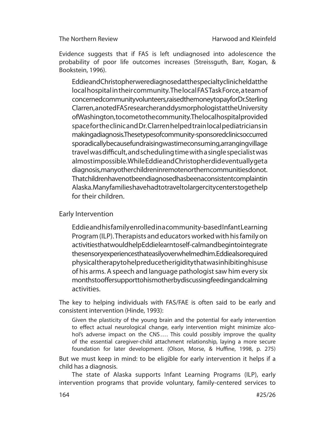Evidence suggests that if FAS is left undiagnosed into adolescence the probability of poor life outcomes increases (Streissguth, Barr, Kogan, & Bookstein, 1996).

Eddie and Christopher were diagnosed at the specialty clinic held at the local hos pital in their community. The local FAS Task Force, a team of concerned community volunteers, raised the money to pay for Dr. Sterling Clarren, a noted FAS researcher and dysmorphologist at the University of Washington, to come to the community. The local hospital provided space for the clinic and Dr. Clarren helped train local pedia tricians in making a diagnosis. These types of community-spons or edclinics occurred sporadically because fund raising was time consuming, arranging village travel was difficult, and scheduling time with a single specialist was almostimpossible. While Eddie and Christopher dideventually geta diagnosis, many other children in remote northern communities donot. That children have not been diagnosed has been a consistent complaint in Alaska. Many families have had to travel to larger city centers to get help for their children.

## Early Intervention

Eddie and his family enrolled in a community-based Infant Learning Program (ILP). Therapists and educators worked with his family on activities that would help Eddie learn to self-calm and begin to integrate the sensory experiences that easily overwhelmed him. Eddie also required physical therapy to help reduce the rigidity that was inhibiting his use of his arms. A speech and language pathologist saw him every six months to offer support to his mother by discussing feeding and calming activities.

The key to helping individuals with FAS/FAE is often said to be early and consistent intervention (Hinde, 1993):

Given the plasticity of the young brain and the potential for early intervention to effect actual neurological change, early intervention might minimize alcohol's adverse impact on the CNS.... This could possibly improve the quality of the essential caregiver-child attach ment relationship, laying a more secure foundation for later development. (Olson, Morse, & Huffine, 1998, p. 275)

But we must keep in mind: to be eligible for early intervention it helps if a child has a diagnosis.

The state of Alaska supports Infant Learning Programs (ILP), early intervention programs that provide voluntary, family-centered services to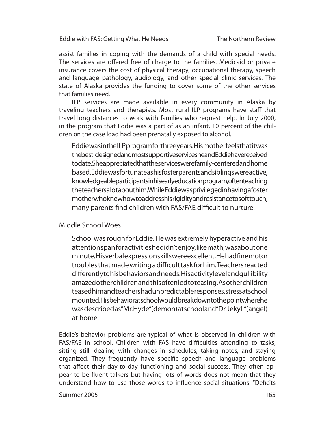The Northern Review

assist families in coping with the demands of a child with special needs. The services are offered free of charge to the families. Medicaid or private insurance covers the cost of physical therapy, occupational therapy, speech and language pathology, audiology, and other special clinic services. The state of Alaska provides the funding to cover some of the other services that families need.

ILP services are made available in every community in Alaska by traveling teachers and therapists. Most rural ILP programs have staff that travel long distances to work with families who request help. In July 2000, in the program that Eddie was a part of as an infant, 10 percent of the children on the case load had been prenatally exposed to alcohol.

Eddie was in the ILP program for three years. His mother feels that it was the best-designed and most supportive services he and Eddie have received to date. She appreciated that the services were family-centered and home based. Eddie was fortunate as his foster parents and siblings were active, know ledgeable participants in his early education program, often teaching the teachers a lotabouthim. While Eddie was priviled edin having a foster mother who knew how to address his rigidity and resistance to soft touch, many parents find children with FAS/FAE difficult to nurture.

### Middle School Woes

School was rough for Eddie. He was extremely hyperactive and his attention span for activities he didn't enjoy, like math, was about one minute. His verbal expression skills were excellent. He had fine motor troubles that made writing a difficult task for him. Teachers reacted differently to his behaviors and needs. His activity level and gullibility amazed other children and this often led to teasing. As other children teased him and teachers had unpredictable responses, stress at school mounted. His behavior at school would break down to the point where he was described as "Mr. Hyde" (demon) at school and "Dr. Jekyll" (angel) at home.

Eddie's behavior problems are typical of what is observed in children with FAS/FAE in school. Children with FAS have difficulties attending to tasks, sitting still, dealing with changes in schedules, taking notes, and staying organized. They frequently have specific speech and language problems that affect their day-to-day functioning and social success. They often appear to be fluent talkers but having lots of words does not mean that they understand how to use those words to influence social situations. "Deficits

#### Summer 2005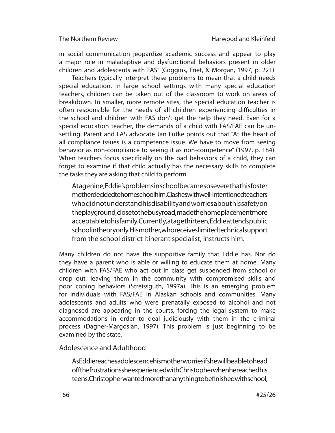in social communication jeopardize academic success and appear to play a major role in maladaptive and dysfunctional behaviors present in older children and adolescents with FAS" (Coggins, Friet, & Morgan, 1997, p. 221).

Teachers typically interpret these problems to mean that a child needs special education. In large school settings with many special education teachers, children can be taken out of the classroom to work on areas of breakdown. In smaller, more remote sites, the special education teacher is often responsible for the needs of all children experiencing difficulties in the school and children with FAS don't get the help they need. Even for a special education teacher, the demands of a child with FAS/FAE can be unsettling. Parent and FAS advocate Jan Lutke points out that "At the heart of all compliance issues is a competence issue. We have to move from seeing behavior as non-compliance to seeing it as non-competence" (1997, p. 184). When teachers focus specifically on the bad behaviors of a child, they can forget to examine if that child actually has the necessary skills to complete the tasks they are asking that child to perform.

At agenine, Eddie's problems inschool becames ose vere that his foster mother decided to home school him. Clashes with well-intentioned teachers who did not understand his disability and worries about his safety on the playground, close to the busy road, made the home placement more acceptable to his family. Currently, at age thirteen, Eddie attends public school in theory only. His mother, who receives limited technical support from the school district itinerant specialist, instructs him.

Many children do not have the supportive family that Eddie has. Nor do they have a parent who is able or willing to educate them at home. Many children with FAS/FAE who act out in class get suspended from school or drop out, leaving them in the community with compromised skills and poor coping behaviors (Streissguth, 1997a). This is an emerging problem for individuals with FAS/FAE in Alaskan schools and communities. Many adolescents and adults who were prenatally exposed to alcohol and not diagnosed are appearing in the courts, forcing the legal system to make accommodations in order to deal judiciously with them in the criminal process (Dagher-Margosian, 1997). This problem is just beginning to be examined by the state.

## Adolescence and Adulthood

As Eddie reaches adolescence his mother worries if she will be able to head off the frustrations she experienced with Christopher when he reached his teens. Christopher wanted more than anything to be finished with school,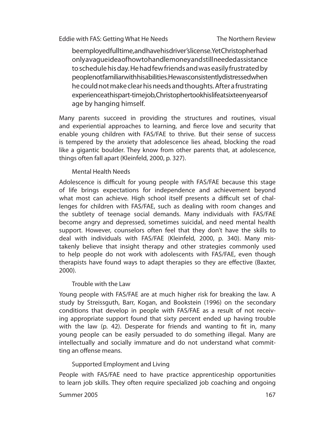The Northern Review

be em ployed full time, and have his driver's license. Yet Christopher had only a vague idea of how to handle money and still needed assistance to schedule his day. He had few friends and was easily frustrated by people not familiar with his abilities. He was consistently distressed when he could not make clear his needs and thoughts. After a frustrating experience at his part-time job, Christopher took his life at sixteen years of age by hanging himself.

Many parents succeed in providing the structures and routines, visual and experiential approaches to learning, and fierce love and security that enable young children with FAS/FAE to thrive. But their sense of success is tempered by the anxiety that adolescence lies ahead, blocking the road like a gigantic boulder. They know from other parents that, at adolescence, things often fall apart (Kleinfeld, 2000, p. 327).

## Mental Health Needs

Adolescence is difficult for young people with FAS/FAE because this stage of life brings expectations for independence and achievement beyond what most can achieve. High school itself presents a difficult set of challenges for children with FAS/FAE, such as dealing with room changes and the subtlety of teenage social demands. Many individuals with FAS/FAE become angry and depressed, sometimes suicidal, and need mental health support. However, counselors often feel that they don't have the skills to deal with individuals with FAS/FAE (Kleinfeld, 2000, p. 340). Many mistakenly believe that insight therapy and other strategies commonly used to help people do not work with adolescents with FAS/FAE, even though therapists have found ways to adapt therapies so they are effective (Baxter, 2000).

## Trouble with the Law

Young people with FAS/FAE are at much higher risk for breaking the law. A study by Streissguth, Barr, Kogan, and Bookstein (1996) on the secondary conditions that develop in people with FAS/FAE as a result of not receiving appropriate support found that sixty percent ended up having trouble with the law  $(p. 42)$ . Desperate for friends and wanting to fit in, many young people can be easily persuaded to do something illegal. Many are intellectually and socially immature and do not understand what committing an offense means.

## Supported Employment and Living

People with FAS/FAE need to have practice apprenticeship opportunities to learn job skills. They often require specialized job coaching and ongoing

#### Summer 2005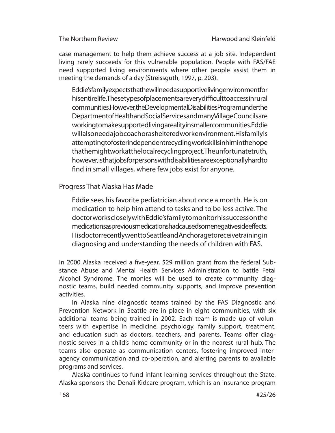case management to help them achieve success at a job site. Independent living rarely succeeds for this vulnerable population. People with FAS/FAE need supported living environments where other people assist them in meeting the demands of a day (Streissguth, 1997, p. 203).

Eddie's family expects that he will need a supportive living environment for his entire life. The sety pes of placements are very difficult to accessin rural com munities. However, the Developmental Disabilities Program under the Depart ment of Health and Social Services and many Village Councils are working to make supported living a reality in smaller communities. Eddie willalsoneed a job coach or a sheltered work environment. His family is attempting to foster independent recycling works kill sinhim in the hope that he might work at the local recycling project. The unfortunate truth, however, is that jobs for persons with disabilities are exceptionally hard to find in small villages, where few jobs exist for anyone.

Progress That Alaska Has Made

Eddie sees his favorite pediatrician about once a month. He is on medication to help him attend to tasks and to be less active. The doctor works closely with Eddie's family to monitor his success on the medications as previous medications had caused some negative side effects. Hisdoctor recently went to Seattle and Anchorage to receive training in diagnosing and understanding the needs of children with FAS.

In 2000 Alaska received a five-year, \$29 million grant from the federal Substance Abuse and Mental Health Services Administration to battle Fetal Alcohol Syndrome. The monies will be used to create community diagnostic teams, build needed community supports, and improve prevention activities.

In Alaska nine diagnostic teams trained by the FAS Diagnostic and Prevention Network in Seattle are in place in eight communities, with six additional teams being trained in 2002. Each team is made up of volunteers with expertise in medicine, psychology, family support, treatment, and education such as doctors, teachers, and parents. Teams offer diagnostic serves in a child's home community or in the nearest rural hub. The teams also operate as communication centers, fostering improved interagency communication and co-operation, and alerting parents to available programs and services.

Alaska continues to fund infant learning services throughout the State. Alaska sponsors the Denali Kidcare program, which is an insurance program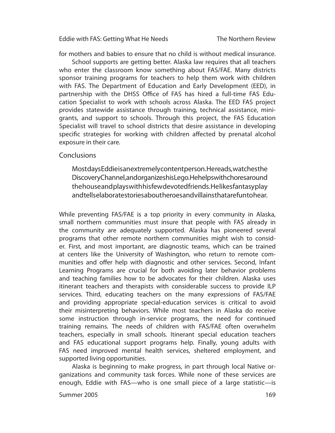for mothers and babies to ensure that no child is without medical insurance.

School supports are getting better. Alaska law requires that all teachers who enter the classroom know something about FAS/FAE. Many districts sponsor training programs for teachers to help them work with children with FAS. The Department of Education and Early Development (EED), in partnership with the DHSS Office of FAS has hired a full-time FAS Education Specialist to work with schools across Alaska. The EED FAS project provides statewide assistance through training, technical assistance, minigrants, and support to schools. Through this project, the FAS Education Specialist will travel to school districts that desire assistance in developing specific strategies for working with children affected by prenatal alcohol exposure in their care.

#### **Conclusions**

Most days Eddie is an extremely content person. He reads, watches the Discovery Channel, and organize shis Lego. He helps with chores around the house and plays with his few devoted friends. He likes fantasy play and tells elabo rate stories about heroes and villains that are fun to hear.

While preventing FAS/FAE is a top priority in every community in Alaska, small northern communities must insure that people with FAS already in the community are adequately supported. Alaska has pioneered several programs that other remote northern communities might wish to consider. First, and most important, are diagnostic teams, which can be trained at centers like the University of Washington, who return to remote communities and offer help with diagnostic and other services. Second, Infant Learning Programs are crucial for both avoiding later behavior problems and teaching families how to be advocates for their children. Alaska uses itinerant teachers and therapists with considerable success to provide ILP services. Third, educating teachers on the many expressions of FAS/FAE and providing appropriate special-education services is critical to avoid their misinterpreting behaviors. While most teachers in Alaska do receive some instruction through in-service programs, the need for continued training remains. The needs of children with FAS/FAE often overwhelm teachers, especially in small schools. Itinerant special education teachers and FAS educational support programs help. Finally, young adults with FAS need improved mental health services, sheltered employment, and supported living opportunities.

Alaska is beginning to make progress, in part through local Native organizations and community task forces. While none of these services are enough, Eddie with FAS—who is one small piece of a large statistic—is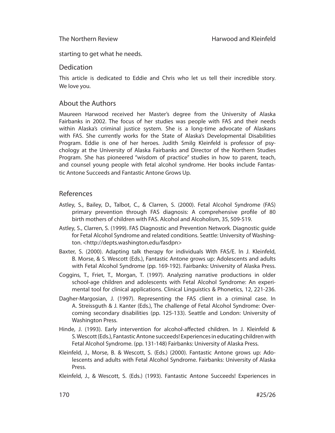starting to get what he needs.

#### **Dedication**

This article is dedicated to Eddie and Chris who let us tell their incredible story. We love you.

## About the Authors

Maureen Harwood received her Master's degree from the University of Alaska Fairbanks in 2002. The focus of her studies was people with FAS and their needs within Alaska's criminal justice system. She is a long-time advocate of Alaskans with FAS. She currently works for the State of Alaska's Developmental Disabilities Program. Eddie is one of her heroes. Judith Smilg Kleinfeld is professor of psychology at the University of Alaska Fairbanks and Director of the Northern Studies Program. She has pioneered "wisdom of practice" studies in how to parent, teach, and counsel young people with fetal alcohol syndrome. Her books include Fantastic Antone Succeeds and Fantastic Antone Grows Up.

### References

- Astley, S., Bailey, D., Talbot, C., & Clarren, S. (2000). Fetal Alcohol Syndrome (FAS) primary prevention through FAS diagnosis: A comprehensive profile of 80 birth mothers of children with FAS. Alcohol and Alcoholism, 35, 509-519.
- Astley, S., Clarren, S. (1999). FAS Diagnostic and Prevention Network. Diagnostic guide for Fetal Alcohol Syndrome and related conditions. Seattle: University of Washington. <http://depts.washington.edu/fasdpn>
- Baxter, S. (2000). Adapting talk therapy for individuals With FAS/E. In J. Kleinfeld, B. Morse, & S. Wescott (Eds.), Fantastic Antone grows up: Adolescents and adults with Fetal Alcohol Syndrome (pp. 169-192). Fairbanks: University of Alaska Press.
- Coggins, T., Friet, T., Morgan, T. (1997). Analyzing narrative productions in older school-age children and adolescents with Fetal Alcohol Syndrome: An experimental tool for clinical applications. Clinical Linguistics & Phonetics, 12, 221-236.
- Dagher-Margosian, J. (1997). Representing the FAS client in a criminal case. In A. Streissguth & J. Kanter (Eds.), The challenge of Fetal Alcohol Syndrome: Overcoming secondary disabilities (pp. 125-133). Seattle and London: University of Washington Press.
- Hinde, J. (1993). Early intervention for alcohol-affected children. In J. Kleinfeld & S. Wescott (Eds.), Fantastic Antone succeeds! Experiences in educating child ren with Fetal Alcohol Syndrome. (pp. 131-148) Fairbanks: University of Alaska Press.
- Kleinfeld, J., Morse, B. & Wescott, S. (Eds.) (2000). Fantastic Antone grows up: Adolescents and adults with Fetal Alcohol Syndrome. Fairbanks: University of Alaska Press.
- Kleinfeld, J., & Wescott, S. (Eds.) (1993). Fantastic Antone Succeeds! Experiences in